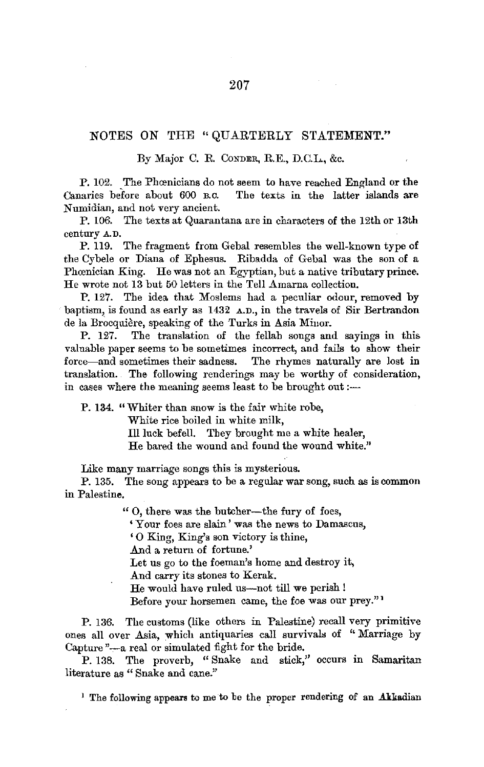## NOTES ON THE "QUARTERLY STATEMENT."

## By Major C. R. CoNDER, R.E., D.C.L., &c.

P. 102. The Phœnicians do not seem to have reached England or the Canaries before about 600 B.C. The texts in the latter islands are The texts in the latter islands are Numidian, and not very ancient.

P. 106. The texts at Quarantana are in characters of the 12th or 13th century A. D.

P. 119. The fragment from Gebal resembles the well-known type of the Cybele or Diana of Ephesus. Ribadda of Gebal was the son of a Phœnician King. He was not an Egyptian, but a native tributary prince. He wrote not 13 but 50 letters in the Tell Amarna collection.

P. 127. The idea that Moslems had a peculiar odour, removed by baptism, is found as early as 1432 A.D., in the travels of Sir Bertrandon de la Brocquière, speaking of the Turks in Asia Miuor.

P. 127. The translation of the fellah songs and sayings in this valuable paper seems to be sometimes incorrect, and fails to show their force-and sometimes their sadness. The rhymes naturally are lost in translation. The following renderings may be worthy of consideration, in cases where the meaning seems least to be brought out :-

**P. 134.** "Whiter than snow is the fair white robe, White rice boiled in white milk, Ill luck befell. They brought me a white healer, He bared the wound and found the wound white."

Like many marriage songs this is mysterious.

P. 135. The song appears to be a regular war song, such as is common in Palestine.

" O, there was the butcher-the fury of foes,

'Your foes are slain' was the news to Damascus,

'0 King, King's son victory is thine,

.And a return of fortune.'

Let us go to the foeman's home and destroy it,

And carry its stones to Kerak.

He would have ruled us-not till we perish!

Before your horsemen came, the foe was our prey."'

P. 136. The customs (like others in Palestine) recall very primitive ones all over Asia, which antiquaries call survivals of "Marriage by Capture "-a real or simulated fight for the bride.

P. 138. The proverb, "Snake and stick," occurs in Samaritan literature as "Snake and cane."

<sup>1</sup> The following appears to me to be the proper rendering of an Akkadian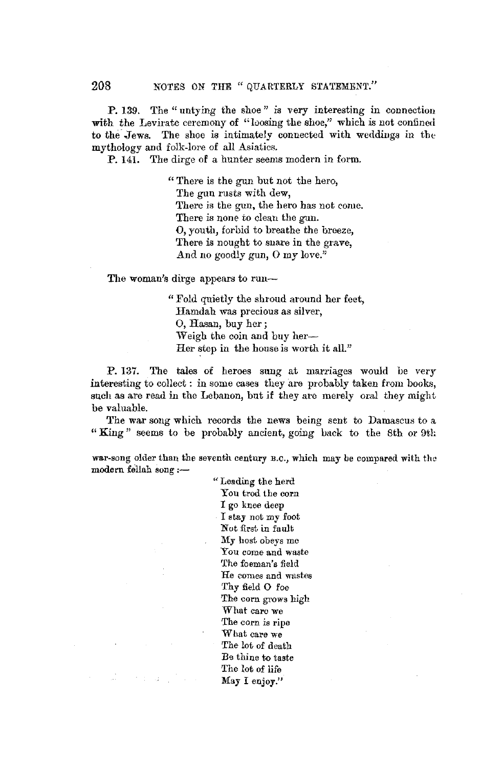**P.** 139. The "untying the shoe" *is* very interesting in connection with the Levirate ceremony of "loosing the shoe," which is not confined to the Jews. The shoe is intimately connected with weddings in the mythology and folk-lore of all Asiatics.

P. 141. The dirge of a hunter seems modern in form.

" There is the gun but not the hero, The gun rusts with dew, There is the gun, the hero has not come. There is none to clean the gun. **0,** youth, forbid to breathe the breeze, There is nought to snare in the grave, And no goodly gun, **0** my love."

**The** woman's dirge appears to run-

" Fold quietly the shroud around her feet, Hamdah was precious as silver, 0, Hasan, buy her; Weigh the coin and buy her-Her step in the house is worth it all."

P. 137. The tales of heroes sung at marriages would be very interesting to collect : in some cases they are probably taken from books, such as are read in the Lebanon, but if they are merely oral they might be valuable.

The war song which records the news being sent to Damascus to a "King" seems to be probably ancient, going back to the 8th or 9th

war-song older than the seventh century B.C., which may be compared with the modern fellah song :-

> " Leading the herd You trod the corn I go knee deep I stay not my foot Nut first in fault My host obeys me You come and waste The foeman's field He comes and wastes Thy field O foe The corn grows high What caru we The corn is ripe What care we The lot of death *Be* thine to taste The lot of life May I enjoy."